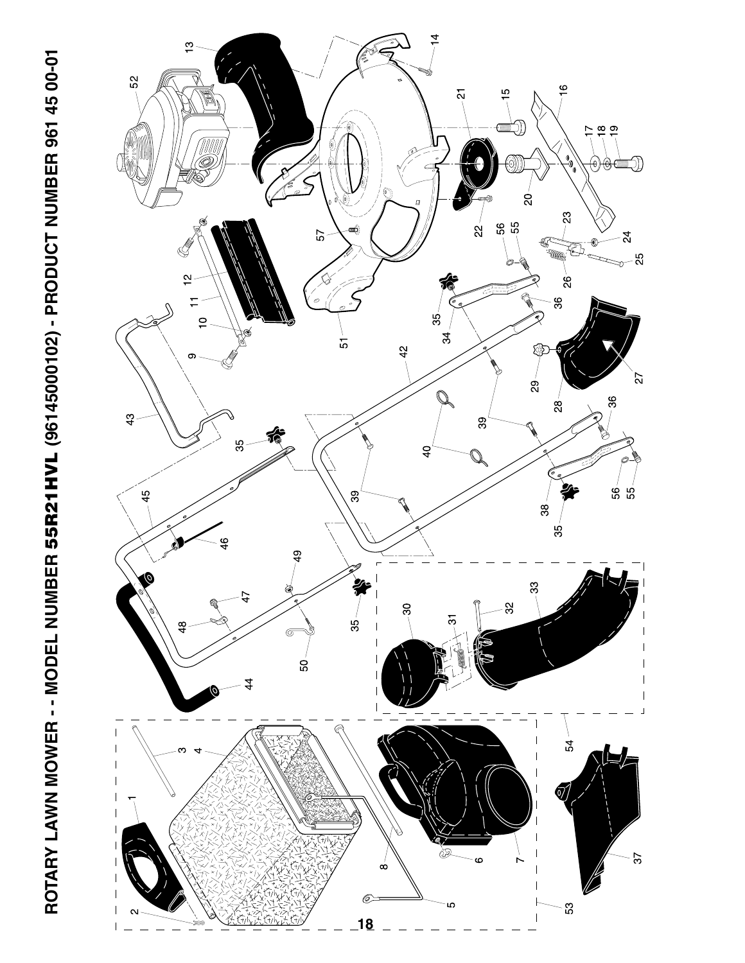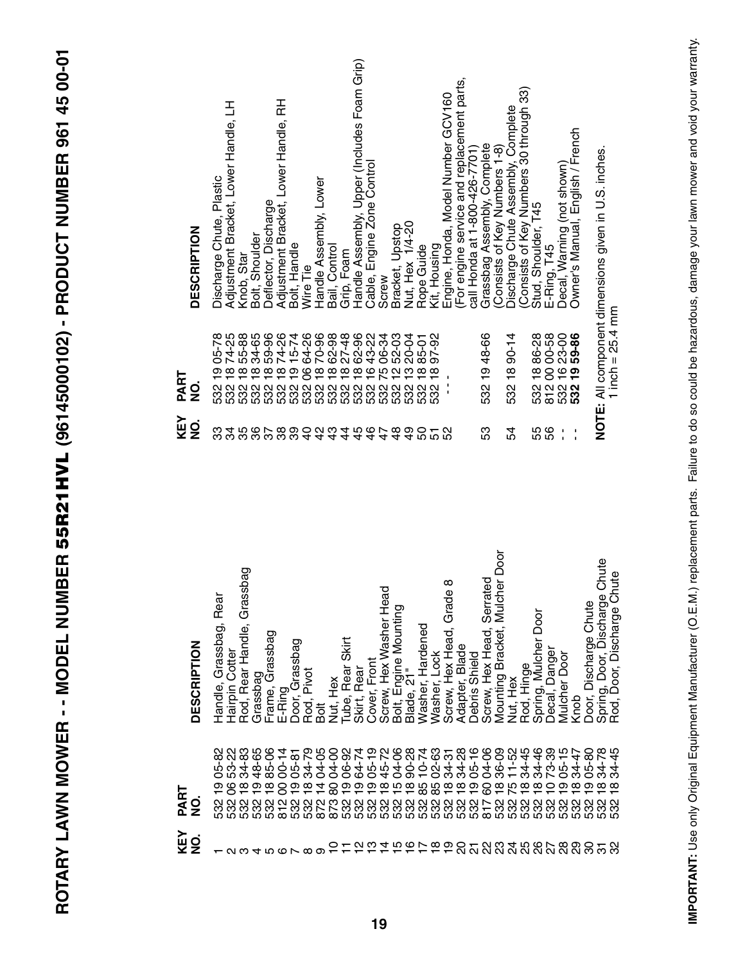ROTARY LAWN MOWER - - MODEL NUMBER 55R21HVL (96145000102) - PRODUCT NUMBER 961 45 00-01 **ROTARY LAWN MOWER - - MODEL NUMBER 55R21HVL (96145000102) - PRODUCT NUMBER 961 45 00-01**

| <b>DESCRIPTION</b>        | Rear<br>Handle, Grassbag, | Hairpin Cotter               | Grassbag<br>Rod, Rear Handle, | Grassbag              | Grassbag<br>Frame, | E-Ring                           | Door, Grassbag      | Pivot<br>Rod, I   | $\overline{5}$ | Nut, Hex          | Skirt<br>Rear<br>Tube, | Skirt, Rear  | Front<br>Cover,           | Screw, Hex Washer Head | Bolt, Engine Mounting | Blade, 21" | Washer, Hardened                        | Lock<br>Washer | ∞<br>Grade<br>Hex Head,<br>Screw, I | Blade<br>Adapter | Shield<br><b>Debris</b>  | Serrated<br>Screw, Hex Head, | <b>Mulcher Door</b><br>Bracket,<br>Mounting | Nut, Hex  | Rod, Hinge          | boor<br>Mulcher<br>Spring, | Danger<br>Decal,    | Door<br>Mulcher       | Knob                     | Door, Discharge Chute | Door, Discharge Chute<br>Spring, | Rod, Door, Discharge Chute                           |
|---------------------------|---------------------------|------------------------------|-------------------------------|-----------------------|--------------------|----------------------------------|---------------------|-------------------|----------------|-------------------|------------------------|--------------|---------------------------|------------------------|-----------------------|------------|-----------------------------------------|----------------|-------------------------------------|------------------|--------------------------|------------------------------|---------------------------------------------|-----------|---------------------|----------------------------|---------------------|-----------------------|--------------------------|-----------------------|----------------------------------|------------------------------------------------------|
| PART<br><u>୦</u>          | Ν<br>œ<br>မ္မ<br>532      | 53-22<br>၆<br>និង<br>និង និង | 34-83<br>$\frac{8}{1}$        | 48-65<br><u>စု စု</u> | 85-06              | $00 - 14$<br>8<br>$\overline{5}$ | $05-81$<br>ၣ<br>532 | 34-79<br>≌<br>532 | 04-05<br>4     | 04-00<br>ౚ<br>873 | 06-92<br>င္ဘာ<br>532   | 64-74<br>532 | $05 - 19$<br>တ တ ထ<br>532 | 45-72<br>532           | 04-06                 | 90-28      | $-74$<br>9<br>たなおおなな<br>ន្ត<br>និងនិងនិ | 02-63          | $34 - 31$                           | 34-28<br>532     | $05 - 16$<br>စ္<br>532   | 04-06<br>8<br>817            | 36-09<br>$\infty$<br>532                    | $11 - 52$ | 34-45<br>688<br>532 | 34-46<br>532               | $73-39$<br>0<br>532 | $05 - 15$<br>တ<br>532 | 34-47<br>$\infty$<br>532 | $05 - 80$<br>တ<br>532 | 34-78<br>$\infty$<br>532         | ഥ<br>4<br>ಸ<br>$\infty$<br>$\mathbf{\Omega}$<br>က္တိ |
| KEY<br>$\dot{\mathbf{z}}$ |                           | $\mathbf{\Omega}$            | ო                             | 4                     | ഥ                  | $\omega \sim \infty$             |                     |                   | တ              |                   | $- \alpha \varpi$      |              |                           |                        |                       |            | キャカケある                                  |                |                                     | ႙                | $\overline{\mathcal{S}}$ | <u>នួនដូនទី</u>              |                                             |           |                     |                            |                     |                       |                          | ನಿ                    | ᡖ                                |                                                      |

| KEY<br>$\frac{1}{2}$ | PART<br>$\dot{\mathbf{z}}$      | <b>DESCRIPTION</b>                                                          |
|----------------------|---------------------------------|-----------------------------------------------------------------------------|
| ౘ<br>34              |                                 | ュ<br>Adjustment Bracket, Lower Handle,<br>Discharge Chute, Plastic          |
| 36<br>35             |                                 | Bolt, Shoulder<br>Knob, Star                                                |
| 38                   |                                 | Deflector, Discharge                                                        |
|                      |                                 | 준<br>Adjustment Bracket, Lower Handle,                                      |
| 39                   |                                 | Bolt, Handle<br>Wire Tie                                                    |
|                      |                                 | Handle Assembly, Lower                                                      |
|                      |                                 | Bail, Control                                                               |
|                      |                                 | Grip, Foam                                                                  |
|                      |                                 | Handle Assembly, Upper (Includes Foam Grip)                                 |
|                      |                                 | Cable, Engine Zone Control                                                  |
|                      |                                 | Screw                                                                       |
|                      |                                 | Bracket, Upstop                                                             |
| $\frac{9}{4}$        |                                 | Nut, Hex 1/4-20                                                             |
|                      |                                 | Rope Guide                                                                  |
| <b>និ</b> ក្ខន       | 97-92<br>$\frac{8}{1}$          | Kit, Housing                                                                |
|                      | $\blacksquare$                  | Engine, Honda, Model Number GCV160                                          |
|                      |                                 | (For engine service and replacement parts,<br>call Honda at 1-800-426-7701) |
| βS                   | 1948-66<br>532                  | Grassbag Assembly, Complete                                                 |
|                      |                                 | Consists of Key Numbers 1-8)                                                |
| 54                   | $90-14$<br>$\frac{8}{1}$<br>532 | Discharge Chute Assembly, Complete                                          |
|                      |                                 | Consists of Key Numbers 30 through 33)                                      |
| 56<br>55             | 1886-28<br>00 00-58             | Stud, Shoulder, T45<br>E-Ring, T45                                          |
| 1<br>$\mathbf{I}$    | 23-00                           | Decal, Warning (not shown)                                                  |
| 1<br>$\mathbf{I}$    | 59-86<br>$\frac{6}{1}$          | Owner's Manual, English / French                                            |
|                      |                                 |                                                                             |
|                      | 1 inch = $25.4$ mm              | NOTE: All component dimensions given in U.S. inches.                        |

IMPORTANT: Use only Original Equipment Manufacturer (O.E.M.) replacement parts. Failure to do so could be hazardous, damage your lawn mower and void your warranty. **IMPORTANT:** Use only Original Equipment Manufacturer (O.E.M.) replacement parts. Failure to do so could be hazardous, damage your lawn mower and void your warranty.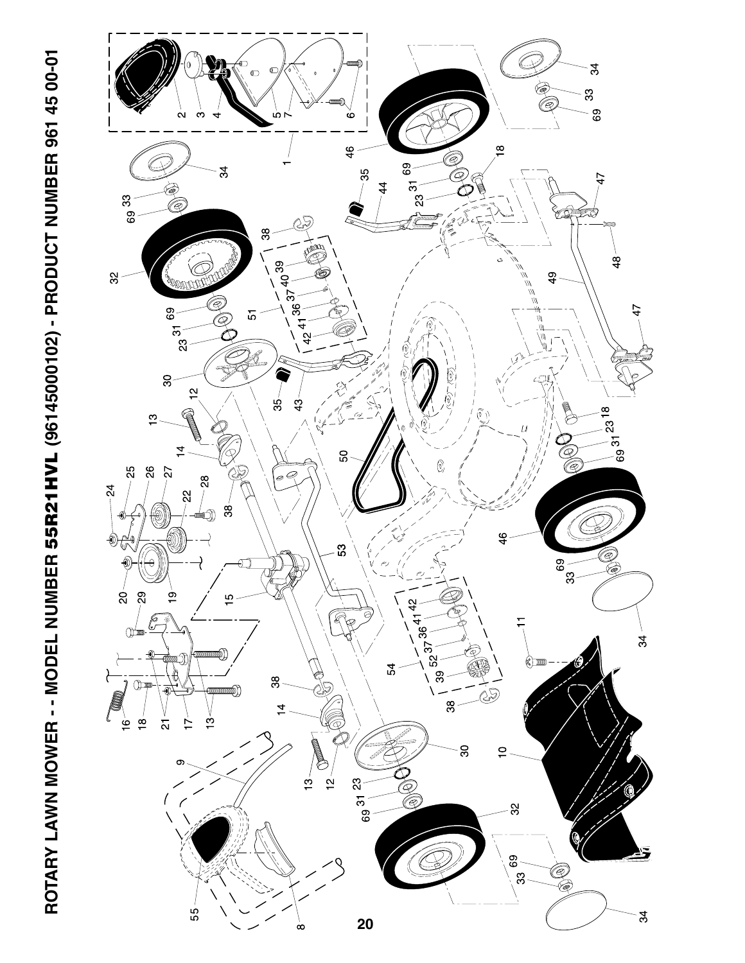

ROTARY LAWN MOWER - - MODEL NUMBER 55R21HVL (96145000102) - PRODUCT NUMBER 961 45 00-01 **ROTARY LAWN MOWER - - MODEL NUMBER 55R21HVL (96145000102) - PRODUCT NUMBER 961 45 00-01**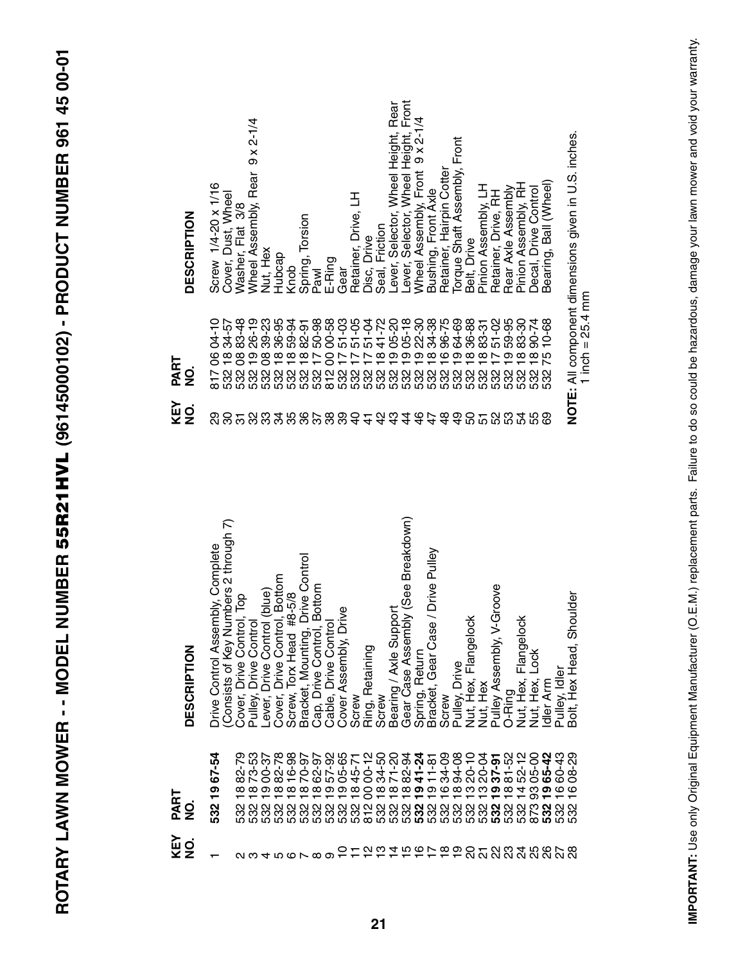| TV VV LT TVV LLLL                                                                                   |
|-----------------------------------------------------------------------------------------------------|
|                                                                                                     |
|                                                                                                     |
|                                                                                                     |
|                                                                                                     |
| ミミュ トくことくしく<br>֚֡<br>֧֧֧֧֧֧֧֧֧֧֧֧֧֧֧֧֧֚֚֚֚֚֚֚֚֚֚֚֚֚֚֚֚֚֝֓֝֓֝֓֝֓֝֓֝֬֝֓֝֬֝֓֝֬֝֓֝֬֝֓֝֬֝֬֝֬֝֬֝֬֝֬֝֬֝֬֝֬ |
|                                                                                                     |
| l                                                                                                   |
|                                                                                                     |
|                                                                                                     |
|                                                                                                     |
|                                                                                                     |
|                                                                                                     |
|                                                                                                     |
| べくら そくくくしゃ そくくご ニューニュー くんしし しっしん<br>r<br>L<br>Ì                                                     |
|                                                                                                     |
|                                                                                                     |
| l<br>1<br>֖֖֪ׅ֪֪ׅ֚֚֚֚֚֚֚֚֚֚֚֚֬֝֝֝֝֝֝֝ <b>֟</b>                                                      |
|                                                                                                     |
| í<br>I                                                                                              |
|                                                                                                     |
|                                                                                                     |
|                                                                                                     |
| l                                                                                                   |
| ĺ,<br>i<br>I                                                                                        |
|                                                                                                     |

| <b>DESCRIPTION</b>    | Screw 1/4-20 x 1/16              | Cover, Dust, Wheel                      | Vasher, Flat 3/8                                   | $9 \times 2 - 1/4$<br>Wheel Assembly, Rear | Nut, Hex | Hubcap                                                      | Knob                       | Spring, Torsion                                                | Pawl                    | E-Ring                                            | Gear                     | Retainer, Drive, LH | Disc, Drive     | Seal, Friction         | Lever, Selector, Wheel Height, Rear<br>Lever, Selector, Wheel Height, Front |                                         | Wheel Assembly, Front 9 x 2-1/4 | Bushing, Front Axle               | Retainer, Hairpin Cotter | Torque Shaft Assembly, Front     | Belt, Drive                      | Pinion Assembly, LH | Retainer, Drive, RH          | Rear Axle Assembly     | Pinion Assembly, RH                | Decal, Drive Control | Bearing, Ball (Wheel) |                | NOTE: All component dimensions given in U.S. inches. |
|-----------------------|----------------------------------|-----------------------------------------|----------------------------------------------------|--------------------------------------------|----------|-------------------------------------------------------------|----------------------------|----------------------------------------------------------------|-------------------------|---------------------------------------------------|--------------------------|---------------------|-----------------|------------------------|-----------------------------------------------------------------------------|-----------------------------------------|---------------------------------|-----------------------------------|--------------------------|----------------------------------|----------------------------------|---------------------|------------------------------|------------------------|------------------------------------|----------------------|-----------------------|----------------|------------------------------------------------------|
| PART<br>g             | 8170604-10                       | 532 18 34-57<br>532 08 83-48            |                                                    |                                            |          |                                                             |                            |                                                                |                         |                                                   |                          |                     |                 |                        |                                                                             |                                         |                                 |                                   |                          |                                  |                                  |                     |                              |                        |                                    |                      | 10-68<br>75<br>532    |                | 1 inch = $25.4$ mm                                   |
| KEY<br>NO.            | 89                               | 80                                      |                                                    | 32                                         | 33       |                                                             |                            |                                                                |                         | 400000044                                         |                          |                     |                 |                        | 4 4<br>4 4                                                                  |                                         |                                 | $4444$<br>$4628$                  |                          | $\frac{6}{4}$                    |                                  |                     | <b>0500</b>                  |                        | 54                                 | 55                   | 89                    |                |                                                      |
| <b>DESCRIPTION</b>    | Drive Control Assembly, Complete | Numbers 2 through 7)<br>Consists of Key | Cover, Drive Control, Top<br>Pulley, Drive Control |                                            |          | Lever, Drive Control (blue)<br>Cover, Drive Control, Bottom | #8-5/8<br>Screw, Torx Head | Bracket, Mounting, Drive Control<br>Cap, Drive Control, Bottom |                         | Cable, Drive Control                              | Drive<br>Cover Assembly, | Screw               | Ring, Retaining | Screw                  | Bearing / Axle Support                                                      | mbly (See Breakdown)<br>Gear Case Asser | Spring, Return                  | Bracket, Gear Case / Drive Pulley | Screw                    | Pulley, Drive                    | <u>iock</u><br>Nut, Hex, Flangel | Nut, Hex            | V-Groove<br>Pulley Assembly, | O-Ring                 | $\frac{1}{8}$<br>Nut, Hex, Flangel | Nut, Hex, Lock       | Idler Arm             | Pulley, Idler  | Shoulder<br>Bolt, Hex Head,                          |
| PART<br>$\frac{1}{2}$ | 532 19 67-54                     |                                         |                                                    | 73-53                                      | 00-37    |                                                             | $\frac{8}{1}$              | $\frac{8}{1}$                                                  | $\frac{\infty}{\infty}$ | 82-28<br>835-9385-12<br>82-935887-12<br><u>စု</u> | <u>ဝှ</u>                | $\frac{8}{1}$       | 8               | 34-50<br>$\frac{8}{1}$ | 1871-20                                                                     | $\frac{8}{10}$                          | <u>ღ</u>                        | $84 + 8$<br>$24 - 8$<br><u>စု</u> | $\overline{6}$           | 94-08<br>$\frac{\infty}{\infty}$ | $20 - 10$<br>ლ                   | 20-04<br>ဗ္         | 37-91<br><u>စု</u>           | 81-52<br>$\frac{8}{1}$ | 52-12<br>05-00                     | 93                   | 65-42<br><u>ღ</u>     | 60-43<br>08-29 | $\frac{6}{1}$                                        |
| KEY<br>NO.            |                                  |                                         |                                                    |                                            |          |                                                             |                            | 400100                                                         |                         |                                                   |                          |                     |                 |                        | P T Z Z T T T P T P D D T Z Z Z Z Z Z Z Z Z Z Z                             |                                         |                                 |                                   |                          |                                  |                                  |                     |                              |                        |                                    |                      |                       |                |                                                      |

IMPORTANT: Use only Original Equipment Manufacturer (O.E.M.) replacement parts. Failure to do so could be hazardous, damage your lawn mower and void your warranty. **IMPORTANT:** Use only Original Equipment Manufacturer (O.E.M.) replacement parts. Failure to do so could be hazardous, damage your lawn mower and void your warranty.